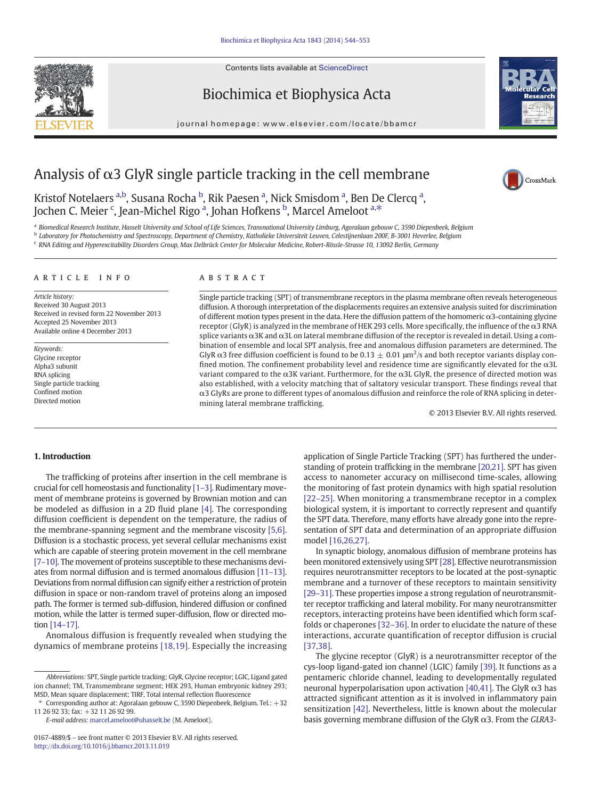Contents lists available at ScienceDirect





journal homepage: www.elsevier.com/locate/bbamcr



CrossMark

# Analysis of  $\alpha$ 3 GlyR single particle tracking in the cell membrane

Kristof Notelaers <sup>a,b</sup>, Susana Rocha <sup>b</sup>, Rik Paesen <sup>a</sup>, Nick Smisdom <sup>a</sup>, Ben De Clercq <sup>a</sup>, Jochen C. Meier  $\lq$ , Jean-Michel Rigo <sup>a</sup>, Johan Hofkens <sup>b</sup>, Marcel Ameloot <sup>a,\*</sup>

a Biomedical Research Institute, Hasselt University and School of Life Sciences, Transnational University Limburg, Agoralaan gebouw C, 3590 Diepenbeek, Belgium

<sup>b</sup> Laboratory for Photochemistry and Spectroscopy, Department of Chemistry, Katholieke Universiteit Leuven, Celestijnenlaan 200F, B-3001 Heverlee, Belgium

<sup>c</sup> RNA Editing and Hyperexcitability Disorders Group, Max Delbrück Center for Molecular Medicine, Robert-Rössle-Strasse 10, 13092 Berlin, Germany

# article info abstract

Article history: Received 30 August 2013 Received in revised form 22 November 2013 Accepted 25 November 2013 Available online 4 December 2013

Keywords: Glycine receptor Alpha3 subunit RNA splicing Single particle tracking Confined motion Directed motion

Single particle tracking (SPT) of transmembrane receptors in the plasma membrane often reveals heterogeneous diffusion. A thorough interpretation of the displacements requires an extensive analysis suited for discrimination of different motion types present in the data. Here the diffusion pattern of the homomeric α3-containing glycine receptor (GlyR) is analyzed in the membrane of HEK 293 cells. More specifically, the influence of the  $\alpha$ 3 RNA splice variants α3K and α3L on lateral membrane diffusion of the receptor is revealed in detail. Using a combination of ensemble and local SPT analysis, free and anomalous diffusion parameters are determined. The GlyR  $\alpha$ 3 free diffusion coefficient is found to be 0.13  $\pm$  0.01  $\mu$ m<sup>2</sup>/s and both receptor variants display confined motion. The confinement probability level and residence time are significantly elevated for the  $\alpha$ 3L variant compared to the α3K variant. Furthermore, for the α3L GlyR, the presence of directed motion was also established, with a velocity matching that of saltatory vesicular transport. These findings reveal that α3 GlyRs are prone to different types of anomalous diffusion and reinforce the role of RNA splicing in determining lateral membrane trafficking.

© 2013 Elsevier B.V. All rights reserved.

# 1. Introduction

The trafficking of proteins after insertion in the cell membrane is crucial for cell homeostasis and functionality [\[1](#page-8-0)–3]. Rudimentary movement of membrane proteins is governed by Brownian motion and can be modeled as diffusion in a 2D fluid plane [\[4\]](#page-8-0). The corresponding diffusion coefficient is dependent on the temperature, the radius of the membrane-spanning segment and the membrane viscosity [\[5,6\].](#page-8-0) Diffusion is a stochastic process, yet several cellular mechanisms exist which are capable of steering protein movement in the cell membrane [7–[10\].](#page-8-0) The movement of proteins susceptible to these mechanisms deviates from normal diffusion and is termed anomalous diffusion [\[11](#page-8-0)–13]. Deviations from normal diffusion can signify either a restriction of protein diffusion in space or non-random travel of proteins along an imposed path. The former is termed sub-diffusion, hindered diffusion or confined motion, while the latter is termed super-diffusion, flow or directed motion [14–[17\].](#page-8-0)

Anomalous diffusion is frequently revealed when studying the dynamics of membrane proteins [\[18,19\].](#page-8-0) Especially the increasing

⁎ Corresponding author at: Agoralaan gebouw C, 3590 Diepenbeek, Belgium. Tel.: +32 11 26 92 33; fax: +32 11 26 92 99.

E-mail address: [marcel.ameloot@uhasselt.be](mailto:marcel.ameloot@uhasselt.be) (M. Ameloot).

application of Single Particle Tracking (SPT) has furthered the understanding of protein trafficking in the membrane [\[20,21\].](#page-8-0) SPT has given access to nanometer accuracy on millisecond time-scales, allowing the monitoring of fast protein dynamics with high spatial resolution [22–[25\].](#page-8-0) When monitoring a transmembrane receptor in a complex biological system, it is important to correctly represent and quantify the SPT data. Therefore, many efforts have already gone into the representation of SPT data and determination of an appropriate diffusion model [\[16,26,27\].](#page-8-0)

In synaptic biology, anomalous diffusion of membrane proteins has been monitored extensively using SPT [\[28\]](#page-8-0). Effective neurotransmission requires neurotransmitter receptors to be located at the post-synaptic membrane and a turnover of these receptors to maintain sensitivity [\[29](#page-8-0)–31]. These properties impose a strong regulation of neurotransmitter receptor trafficking and lateral mobility. For many neurotransmitter receptors, interacting proteins have been identified which form scaffolds or chaperones [\[32](#page-8-0)–36]. In order to elucidate the nature of these interactions, accurate quantification of receptor diffusion is crucial [\[37,38\]](#page-8-0).

The glycine receptor (GlyR) is a neurotransmitter receptor of the cys-loop ligand-gated ion channel (LGIC) family [\[39\].](#page-8-0) It functions as a pentameric chloride channel, leading to developmentally regulated neuronal hyperpolarisation upon activation [\[40,41\]](#page-8-0). The GlyR  $α3$  has attracted significant attention as it is involved in inflammatory pain sensitization [\[42\].](#page-8-0) Nevertheless, little is known about the molecular basis governing membrane diffusion of the GlyR α3. From the GLRΑ3-

Abbreviations: SPT, Single particle tracking; GlyR, Glycine receptor; LGIC, Ligand gated ion channel; TM, Transmembrane segment; HEK 293, Human embryonic kidney 293; MSD, Mean square displacement; TIRF, Total internal reflection fluorescence

<sup>0167-4889/\$</sup> – see front matter © 2013 Elsevier B.V. All rights reserved. <http://dx.doi.org/10.1016/j.bbamcr.2013.11.019>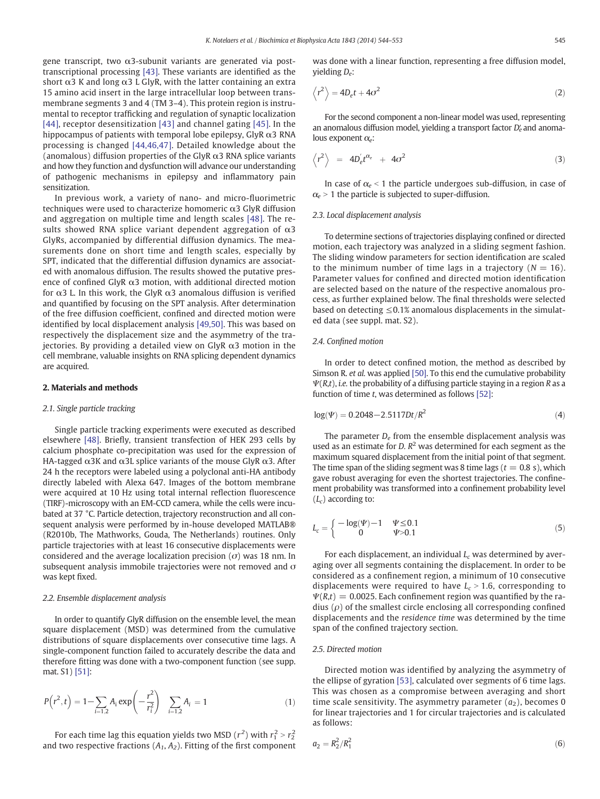<span id="page-1-0"></span>gene transcript, two α3-subunit variants are generated via posttranscriptional processing [\[43\].](#page-8-0) These variants are identified as the short  $\alpha$ 3 K and long  $\alpha$ 3 L GlyR, with the latter containing an extra 15 amino acid insert in the large intracellular loop between transmembrane segments 3 and 4 (TM 3–4). This protein region is instrumental to receptor trafficking and regulation of synaptic localization [\[44\]](#page-8-0), receptor desensitization [\[43\]](#page-8-0) and channel gating [\[45\].](#page-8-0) In the hippocampus of patients with temporal lobe epilepsy, GlyR  $\alpha$ 3 RNA processing is changed [\[44,46,47\]](#page-8-0). Detailed knowledge about the (anomalous) diffusion properties of the GlyR  $\alpha$ 3 RNA splice variants and how they function and dysfunction will advance our understanding of pathogenic mechanisms in epilepsy and inflammatory pain sensitization.

In previous work, a variety of nano- and micro-fluorimetric techniques were used to characterize homomeric α3 GlyR diffusion and aggregation on multiple time and length scales [\[48\].](#page-8-0) The results showed RNA splice variant dependent aggregation of  $\alpha$ 3 GlyRs, accompanied by differential diffusion dynamics. The measurements done on short time and length scales, especially by SPT, indicated that the differential diffusion dynamics are associated with anomalous diffusion. The results showed the putative presence of confined GlyR  $\alpha$ 3 motion, with additional directed motion for α3 L. In this work, the GlyR α3 anomalous diffusion is verified and quantified by focusing on the SPT analysis. After determination of the free diffusion coefficient, confined and directed motion were identified by local displacement analysis [\[49,50\].](#page-8-0) This was based on respectively the displacement size and the asymmetry of the trajectories. By providing a detailed view on GlyR  $\alpha$ 3 motion in the cell membrane, valuable insights on RNA splicing dependent dynamics are acquired.

# 2. Materials and methods

# 2.1. Single particle tracking

Single particle tracking experiments were executed as described elsewhere [\[48\].](#page-8-0) Briefly, transient transfection of HEK 293 cells by calcium phosphate co-precipitation was used for the expression of HA-tagged  $\alpha$ 3K and  $\alpha$ 3L splice variants of the mouse GlyR  $\alpha$ 3. After 24 h the receptors were labeled using a polyclonal anti-HA antibody directly labeled with Alexa 647. Images of the bottom membrane were acquired at 10 Hz using total internal reflection fluorescence (TIRF)-microscopy with an EM-CCD camera, while the cells were incubated at 37 °C. Particle detection, trajectory reconstruction and all consequent analysis were performed by in-house developed MATLAB® (R2010b, The Mathworks, Gouda, The Netherlands) routines. Only particle trajectories with at least 16 consecutive displacements were considered and the average localization precision  $(\sigma)$  was 18 nm. In subsequent analysis immobile trajectories were not removed and σ was kept fixed.

# 2.2. Ensemble displacement analysis

In order to quantify GlyR diffusion on the ensemble level, the mean square displacement (MSD) was determined from the cumulative distributions of square displacements over consecutive time lags. A single-component function failed to accurately describe the data and therefore fitting was done with a two-component function (see supp. mat. S1) [\[51\]:](#page-8-0)

$$
P(r^2, t) = 1 - \sum_{i=1,2} A_i \exp\left(-\frac{r^2}{r_i^2}\right) \sum_{i=1,2} A_i = 1
$$
 (1)

For each time lag this equation yields two MSD  $(r^2)$  with  $r_1^2 > r_2^2$ and two respective fractions  $(A_1, A_2)$ . Fitting of the first component was done with a linear function, representing a free diffusion model, yielding  $D_e$ :

$$
\left\langle r^2 \right\rangle = 4D_e t + 4\sigma^2 \tag{2}
$$

For the second component a non-linear model was used, representing an anomalous diffusion model, yielding a transport factor  $D_e'$  and anomalous exponent  $\alpha_e$ :

$$
\left\langle r^2\right\rangle = 4D_e^{\prime}t^{\alpha_e} + 4\sigma^2 \tag{3}
$$

In case of  $\alpha$ <sub>e</sub> < 1 the particle undergoes sub-diffusion, in case of  $\alpha$  > 1 the particle is subjected to super-diffusion.

# 2.3. Local displacement analysis

To determine sections of trajectories displaying confined or directed motion, each trajectory was analyzed in a sliding segment fashion. The sliding window parameters for section identification are scaled to the minimum number of time lags in a trajectory ( $N = 16$ ). Parameter values for confined and directed motion identification are selected based on the nature of the respective anomalous process, as further explained below. The final thresholds were selected based on detecting  $\leq$  0.1% anomalous displacements in the simulated data (see suppl. mat. S2).

# 2.4. Confined motion

In order to detect confined motion, the method as described by Simson R. et al. was applied [\[50\]](#page-8-0). To this end the cumulative probability  $\Psi(R,t)$ , *i.e.* the probability of a diffusing particle staying in a region R as a function of time t, was determined as follows [\[52\]](#page-8-0):

$$
log(\Psi) = 0.2048 - 2.5117Dt/R^2
$$
\n(4)

The parameter  $D_e$  from the ensemble displacement analysis was used as an estimate for D.  $R^2$  was determined for each segment as the maximum squared displacement from the initial point of that segment. The time span of the sliding segment was 8 time lags ( $t = 0.8$  s), which gave robust averaging for even the shortest trajectories. The confinement probability was transformed into a confinement probability level  $(L_c)$  according to:

$$
L_c = \begin{cases} -\log(\Psi) - 1 & \Psi \le 0.1\\ 0 & \Psi > 0.1 \end{cases}
$$
 (5)

For each displacement, an individual  $L_c$  was determined by averaging over all segments containing the displacement. In order to be considered as a confinement region, a minimum of 10 consecutive displacements were required to have  $L_c > 1.6$ , corresponding to  $\Psi(R,t) = 0.0025$ . Each confinement region was quantified by the radius  $(\rho)$  of the smallest circle enclosing all corresponding confined displacements and the residence time was determined by the time span of the confined trajectory section.

#### 2.5. Directed motion

Directed motion was identified by analyzing the asymmetry of the ellipse of gyration [\[53\]](#page-8-0), calculated over segments of 6 time lags. This was chosen as a compromise between averaging and short time scale sensitivity. The asymmetry parameter  $(a_2)$ , becomes 0 for linear trajectories and 1 for circular trajectories and is calculated as follows:

$$
a_2 = R_2^2 / R_1^2 \tag{6}
$$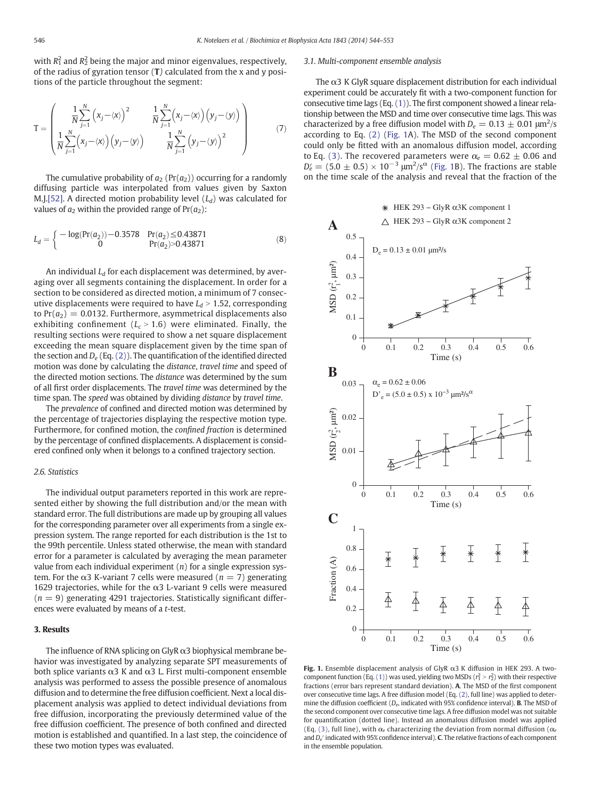<span id="page-2-0"></span>with  $R_1^2$  and  $R_2^2$  being the major and minor eigenvalues, respectively, of the radius of gyration tensor (T) calculated from the x and y positions of the particle throughout the segment:

$$
\mathbf{T} = \begin{pmatrix} \frac{1}{N} \sum_{j=1}^{N} \left( x_j - \langle x \rangle \right)^2 & \frac{1}{N} \sum_{j=1}^{N} \left( x_j - \langle x \rangle \right) \left( y_j - \langle y \rangle \right) \\ \frac{1}{N} \sum_{j=1}^{N} \left( x_j - \langle x \rangle \right) \left( y_j - \langle y \rangle \right) & \frac{1}{N} \sum_{j=1}^{N} \left( y_j - \langle y \rangle \right)^2 \end{pmatrix}
$$
(7)

The cumulative probability of  $a_2$  (Pr( $a_2$ )) occurring for a randomly diffusing particle was interpolated from values given by Saxton M.J[.\[52\]](#page-8-0). A directed motion probability level  $(L_d)$  was calculated for values of  $a_2$  within the provided range of  $Pr(a_2)$ :

$$
L_d = \begin{cases} -\log(\Pr(a_2)) - 0.3578 & \Pr(a_2) \le 0.43871 \\ 0 & \Pr(a_2) > 0.43871 \end{cases}
$$
(8)

An individual  $L_d$  for each displacement was determined, by averaging over all segments containing the displacement. In order for a section to be considered as directed motion, a minimum of 7 consecutive displacements were required to have  $L_d > 1.52$ , corresponding to  $Pr(a_2) = 0.0132$ . Furthermore, asymmetrical displacements also exhibiting confinement ( $L_c > 1.6$ ) were eliminated. Finally, the resulting sections were required to show a net square displacement exceeding the mean square displacement given by the time span of the section and  $D_e$  (Eq. [\(2\)\)](#page-1-0). The quantification of the identified directed motion was done by calculating the distance, travel time and speed of the directed motion sections. The distance was determined by the sum of all first order displacements. The travel time was determined by the time span. The speed was obtained by dividing distance by travel time.

The prevalence of confined and directed motion was determined by the percentage of trajectories displaying the respective motion type. Furthermore, for confined motion, the confined fraction is determined by the percentage of confined displacements. A displacement is considered confined only when it belongs to a confined trajectory section.

# 2.6. Statistics

The individual output parameters reported in this work are represented either by showing the full distribution and/or the mean with standard error. The full distributions are made up by grouping all values for the corresponding parameter over all experiments from a single expression system. The range reported for each distribution is the 1st to the 99th percentile. Unless stated otherwise, the mean with standard error for a parameter is calculated by averaging the mean parameter value from each individual experiment  $(n)$  for a single expression system. For the α3 K-variant 7 cells were measured ( $n = 7$ ) generating 1629 trajectories, while for the  $α3$  L-variant 9 cells were measured  $(n = 9)$  generating 4291 trajectories. Statistically significant differences were evaluated by means of a t-test.

# 3. Results

The influence of RNA splicing on GlyR α3 biophysical membrane behavior was investigated by analyzing separate SPT measurements of both splice variants  $\alpha$ 3 K and  $\alpha$ 3 L. First multi-component ensemble analysis was performed to assess the possible presence of anomalous diffusion and to determine the free diffusion coefficient. Next a local displacement analysis was applied to detect individual deviations from free diffusion, incorporating the previously determined value of the free diffusion coefficient. The presence of both confined and directed motion is established and quantified. In a last step, the coincidence of these two motion types was evaluated.

# 3.1. Multi-component ensemble analysis

The  $\alpha$ 3 K GlyR square displacement distribution for each individual experiment could be accurately fit with a two-component function for consecutive time lags (Eq. [\(1\)\)](#page-1-0). The first component showed a linear relationship between the MSD and time over consecutive time lags. This was characterized by a free diffusion model with  $D_e = 0.13 \pm 0.01 \text{ }\mu\text{m}^2/\text{s}$ according to Eq. [\(2\)](#page-1-0) (Fig. 1A). The MSD of the second component could only be fitted with an anomalous diffusion model, according to Eq. [\(3\)](#page-1-0). The recovered parameters were  $\alpha_e = 0.62 \pm 0.06$  and  $D'_e = (5.0 \pm 0.5) \times 10^{-3} \ \mu m^2/s^\alpha$  (Fig. 1B). The fractions are stable on the time scale of the analysis and reveal that the fraction of the



Fig. 1. Ensemble displacement analysis of GlyR  $\alpha$ 3 K diffusion in HEK 293. A two-component function (Eq. [\(1\)](#page-1-0)) was used, yielding two MSDs ( $r_1^2 > r_2^2$ ) with their respective fractions (error bars represent standard deviation). A. The MSD of the first component over consecutive time lags. A free diffusion model (Eq. [\(2\)](#page-1-0), full line) was applied to determine the diffusion coefficient ( $D_e$ , indicated with 95% confidence interval). **B**. The MSD of the second component over consecutive time lags. A free diffusion model was not suitable for quantification (dotted line). Instead an anomalous diffusion model was applied (Eq. [\(3\),](#page-1-0) full line), with  $\alpha_e$  characterizing the deviation from normal diffusion ( $\alpha_e$ and  $D_e'$  indicated with 95% confidence interval). C. The relative fractions of each component in the ensemble population.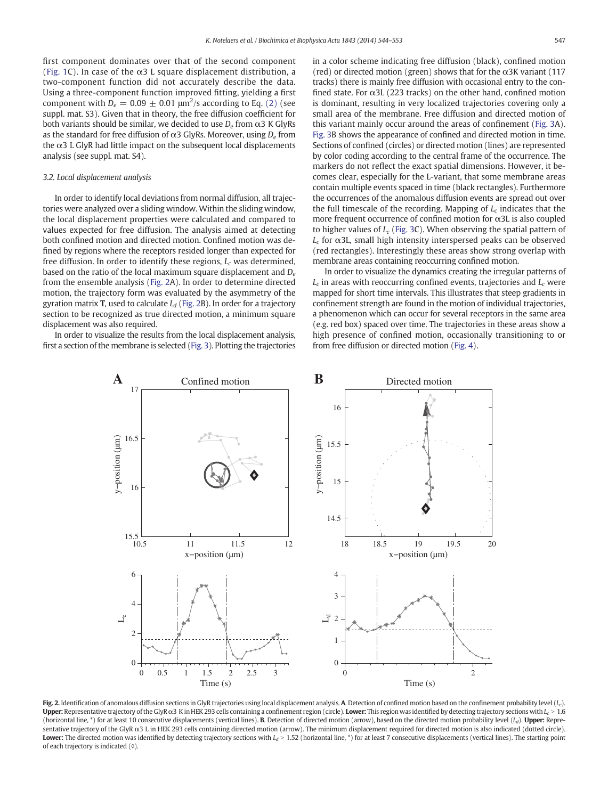first component dominates over that of the second component [\(Fig. 1](#page-2-0)C). In case of the  $\alpha$ 3 L square displacement distribution, a two-component function did not accurately describe the data. Using a three-component function improved fitting, yielding a first component with  $D_e = 0.09 \pm 0.01$   $\mu$ m $^2$ /s according to Eq. [\(2\)](#page-1-0) (see suppl. mat. S3). Given that in theory, the free diffusion coefficient for both variants should be similar, we decided to use  $D_e$  from  $\alpha$ 3 K GlyRs as the standard for free diffusion of  $\alpha$ 3 GlyRs. Moreover, using  $D_e$  from the  $\alpha$ 3 L GlyR had little impact on the subsequent local displacements analysis (see suppl. mat. S4).

# 3.2. Local displacement analysis

In order to identify local deviations from normal diffusion, all trajectories were analyzed over a sliding window. Within the sliding window, the local displacement properties were calculated and compared to values expected for free diffusion. The analysis aimed at detecting both confined motion and directed motion. Confined motion was defined by regions where the receptors resided longer than expected for free diffusion. In order to identify these regions,  $L_c$  was determined, based on the ratio of the local maximum square displacement and  $D_e$ from the ensemble analysis (Fig. 2A). In order to determine directed motion, the trajectory form was evaluated by the asymmetry of the gyration matrix **T**, used to calculate  $L_d$  (Fig. 2B). In order for a trajectory section to be recognized as true directed motion, a minimum square displacement was also required.

In order to visualize the results from the local displacement analysis, first a section of the membrane is selected ([Fig. 3](#page-4-0)). Plotting the trajectories in a color scheme indicating free diffusion (black), confined motion (red) or directed motion (green) shows that for the  $\alpha$ 3K variant (117 tracks) there is mainly free diffusion with occasional entry to the confined state. For  $\alpha$ 3L (223 tracks) on the other hand, confined motion is dominant, resulting in very localized trajectories covering only a small area of the membrane. Free diffusion and directed motion of this variant mainly occur around the areas of confinement [\(Fig. 3A](#page-4-0)). [Fig. 3](#page-4-0)B shows the appearance of confined and directed motion in time. Sections of confined (circles) or directed motion (lines) are represented by color coding according to the central frame of the occurrence. The markers do not reflect the exact spatial dimensions. However, it becomes clear, especially for the L-variant, that some membrane areas contain multiple events spaced in time (black rectangles). Furthermore the occurrences of the anomalous diffusion events are spread out over the full timescale of the recording. Mapping of  $L_c$  indicates that the more frequent occurrence of confined motion for  $\alpha$ 3L is also coupled to higher values of  $L_c$  [\(Fig. 3](#page-4-0)C). When observing the spatial pattern of  $L<sub>c</sub>$  for  $\alpha$ 3L, small high intensity interspersed peaks can be observed (red rectangles). Interestingly these areas show strong overlap with membrane areas containing reoccurring confined motion.

In order to visualize the dynamics creating the irregular patterns of  $L_c$  in areas with reoccurring confined events, trajectories and  $L_c$  were mapped for short time intervals. This illustrates that steep gradients in confinement strength are found in the motion of individual trajectories, a phenomenon which can occur for several receptors in the same area (e.g. red box) spaced over time. The trajectories in these areas show a high presence of confined motion, occasionally transitioning to or from free diffusion or directed motion [\(Fig. 4\)](#page-5-0).



Fig. 2. Identification of anomalous diffusion sections in GlyR trajectories using local displacement analysis. A. Detection of confined motion based on the confinement probability level (L<sub>c</sub>). Upper: Representative trajectory of the GlyR  $\alpha$ 3 K in HEK 293 cells containing a confinement region (circle). Lower: This region was identified by detecting trajectory sections with  $L_c > 1.6$ (horizontal line, \*) for at least 10 consecutive displacements (vertical lines). **B**. Detection of directed motion (arrow), based on the directed motion probability level  $(L_d)$ . **Upper:** Representative trajectory of the GlyR α3 L in HEK 293 cells containing directed motion (arrow). The minimum displacement required for directed motion is also indicated (dotted circle). Lower: The directed motion was identified by detecting trajectory sections with  $L_d > 1.52$  (horizontal line, \*) for at least 7 consecutive displacements (vertical lines). The starting point of each trajectory is indicated (◊).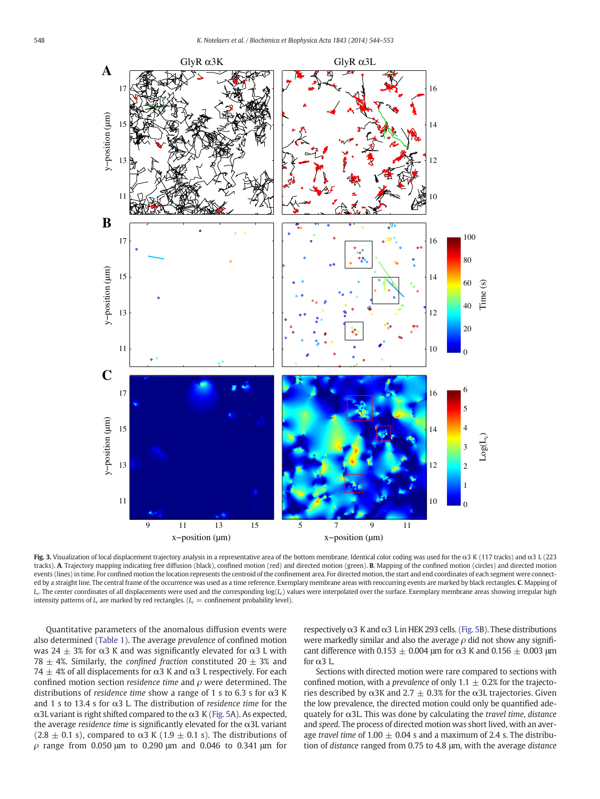<span id="page-4-0"></span>

Fig. 3. Visualization of local displacement trajectory analysis in a representative area of the bottom membrane. Identical color coding was used for the α3 K (117 tracks) and α3 L (223 tracks). A. Trajectory mapping indicating free diffusion (black), confined motion (red) and directed motion (green). B. Mapping of the confined motion (circles) and directed motion events (lines) in time. For confined motion the location represents the centroid of the confinement area. For directed motion, the start and end coordinates of each segment were connected by a straight line. The central frame of the occurrence was used as a time reference. Exemplary membrane areas with reoccurring events are marked by black rectangles. C. Mapping of  $L_c$ . The center coordinates of all displacements were used and the corresponding  $log(L_c)$  values were interpolated over the surface. Exemplary membrane areas showing irregular high intensity patterns of  $L_c$  are marked by red rectangles. ( $L_c$  = confinement probability level).

Quantitative parameters of the anomalous diffusion events were also determined ([Table 1\)](#page-5-0). The average prevalence of confined motion was 24  $\pm$  3% for α3 K and was significantly elevated for α3 L with 78  $\pm$  4%. Similarly, the confined fraction constituted 20  $\pm$  3% and  $74 \pm 4\%$  of all displacements for α3 K and α3 L respectively. For each confined motion section residence time and  $\rho$  were determined. The distributions of residence time show a range of 1 s to 6.3 s for  $\alpha$ 3 K and 1 s to 13.4 s for  $\alpha$ 3 L. The distribution of residence time for the α3L variant is right shifted compared to the α3 K([Fig. 5A](#page-6-0)). As expected, the average residence time is significantly elevated for the  $\alpha$ 3L variant (2.8  $\pm$  0.1 s), compared to  $\alpha$ 3 K (1.9  $\pm$  0.1 s). The distributions of ρ range from 0.050 μm to 0.290 μm and 0.046 to 0.341 μm for respectively  $\alpha$ 3 K and  $\alpha$ 3 L in HEK 293 cells. [\(Fig. 5B](#page-6-0)). These distributions were markedly similar and also the average  $\rho$  did not show any significant difference with 0.153  $\pm$  0.004 μm for  $\alpha$ 3 K and 0.156  $\pm$  0.003 μm for  $\alpha$ 3 L.

Sections with directed motion were rare compared to sections with confined motion, with a *prevalence* of only  $1.1 \pm 0.2\%$  for the trajectories described by α3K and 2.7  $\pm$  0.3% for the α3L trajectories. Given the low prevalence, the directed motion could only be quantified adequately for  $\alpha$ 3L. This was done by calculating the travel time, distance and speed. The process of directed motion was short lived, with an average travel time of 1.00  $\pm$  0.04 s and a maximum of 2.4 s. The distribution of distance ranged from 0.75 to 4.8 μm, with the average distance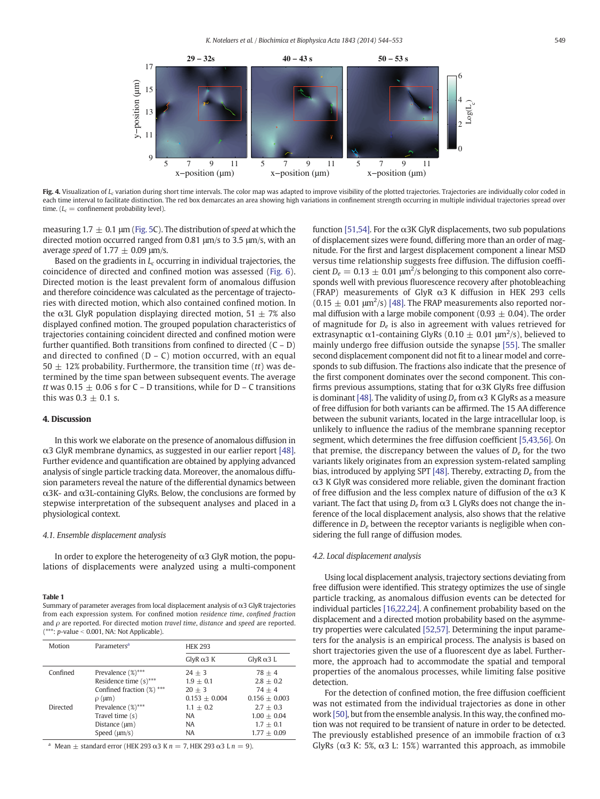<span id="page-5-0"></span>

Fig. 4. Visualization of  $L_c$  variation during short time intervals. The color map was adapted to improve visibility of the plotted trajectories. Trajectories are individually color coded in each time interval to facilitate distinction. The red box demarcates an area showing high variations in confinement strength occurring in multiple individual trajectories spread over time.  $(L_c =$  confinement probability level).

measuring 1.7  $\pm$  0.1 μm [\(Fig. 5](#page-6-0)C). The distribution of speed at which the directed motion occurred ranged from 0.81 μm/s to 3.5 μm/s, with an average speed of 1.77  $\pm$  0.09 μm/s.

Based on the gradients in  $L_c$  occurring in individual trajectories, the coincidence of directed and confined motion was assessed [\(Fig. 6](#page-7-0)). Directed motion is the least prevalent form of anomalous diffusion and therefore coincidence was calculated as the percentage of trajectories with directed motion, which also contained confined motion. In the α3L GlyR population displaying directed motion,  $51 \pm 7\%$  also displayed confined motion. The grouped population characteristics of trajectories containing coincident directed and confined motion were further quantified. Both transitions from confined to directed  $(C - D)$ and directed to confined  $(D - C)$  motion occurred, with an equal  $50 \pm 12$ % probability. Furthermore, the transition time (*tt*) was determined by the time span between subsequent events. The average tt was 0.15  $\pm$  0.06 s for C – D transitions, while for D – C transitions this was  $0.3 \pm 0.1$  s.

# 4. Discussion

In this work we elaborate on the presence of anomalous diffusion in α3 GlyR membrane dynamics, as suggested in our earlier report [\[48\].](#page-8-0) Further evidence and quantification are obtained by applying advanced analysis of single particle tracking data. Moreover, the anomalous diffusion parameters reveal the nature of the differential dynamics between α3K- and α3L-containing GlyRs. Below, the conclusions are formed by stepwise interpretation of the subsequent analyses and placed in a physiological context.

# 4.1. Ensemble displacement analysis

In order to explore the heterogeneity of  $\alpha$ 3 GlyR motion, the populations of displacements were analyzed using a multi-component

# Table 1

Summary of parameter averages from local displacement analysis of  $\alpha$ 3 GlyR trajectories from each expression system. For confined motion residence time, confined fraction and  $\rho$  are reported. For directed motion travel time, distance and speed are reported.  $(***: p-value < 0.001$ , NA: Not Applicable).

| Motion   | Parameters <sup>a</sup>   | <b>HEK 293</b>    |                   |
|----------|---------------------------|-------------------|-------------------|
|          |                           | GlyR $\alpha$ 3 K | $GlyR \alpha 3 L$ |
| Confined | Prevalence (%)***         | $24 + 3$          | $78 + 4$          |
|          | Residence time $(s)$ ***  | $1.9 + 0.1$       | $2.8 + 0.2$       |
|          | Confined fraction (%) *** | $20 + 3$          | $74 + 4$          |
|          | $\rho$ ( $\mu$ m)         | $0.153 + 0.004$   | $0.156 + 0.003$   |
| Directed | Prevalence (%)***         | $1.1 + 0.2$       | $2.7 + 0.3$       |
|          | Travel time (s)           | NA                | $1.00 + 0.04$     |
|          | Distance $(\mu m)$        | NA                | $1.7 + 0.1$       |
|          | Speed $(\mu m/s)$         | <b>NA</b>         | $1.77 + 0.09$     |

Mean  $\pm$  standard error (HEK 293  $\alpha$ 3 K n = 7, HEK 293  $\alpha$ 3 L n = 9).

function [\[51,54\]](#page-8-0). For the  $\alpha$ 3K GlyR displacements, two sub populations of displacement sizes were found, differing more than an order of magnitude. For the first and largest displacement component a linear MSD versus time relationship suggests free diffusion. The diffusion coefficient  $D_e = 0.13 \pm 0.01 \text{ }\mu\text{m}^2/\text{s}$  belonging to this component also corresponds well with previous fluorescence recovery after photobleaching (FRAP) measurements of GlyR α3 K diffusion in HEK 293 cells  $(0.15 \pm 0.01 \text{ }\mu\text{m}^2/\text{s})$  [\[48\].](#page-8-0) The FRAP measurements also reported normal diffusion with a large mobile component (0.93  $\pm$  0.04). The order of magnitude for  $D_e$  is also in agreement with values retrieved for extrasynaptic  $\alpha$ 1-containing GlyRs (0.10  $\pm$  0.01  $\mu$ m<sup>2</sup>/s), believed to mainly undergo free diffusion outside the synapse [\[55\]](#page-9-0). The smaller second displacement component did not fit to a linear model and corresponds to sub diffusion. The fractions also indicate that the presence of the first component dominates over the second component. This confirms previous assumptions, stating that for  $\alpha$ 3K GlyRs free diffusion is dominant [\[48\].](#page-8-0) The validity of using  $D_e$  from  $\alpha$ 3 K GlyRs as a measure of free diffusion for both variants can be affirmed. The 15 AA difference between the subunit variants, located in the large intracellular loop, is unlikely to influence the radius of the membrane spanning receptor segment, which determines the free diffusion coefficient [\[5,43,56\]](#page-8-0). On that premise, the discrepancy between the values of  $D<sub>e</sub>$  for the two variants likely originates from an expression system-related sampling bias, introduced by applying SPT [\[48\]](#page-8-0). Thereby, extracting  $D_e$  from the  $\alpha$ 3 K GlyR was considered more reliable, given the dominant fraction of free diffusion and the less complex nature of diffusion of the  $\alpha$ 3 K variant. The fact that using  $D_e$  from  $\alpha$ 3 L GlyRs does not change the inference of the local displacement analysis, also shows that the relative difference in  $D<sub>e</sub>$  between the receptor variants is negligible when considering the full range of diffusion modes.

# 4.2. Local displacement analysis

Using local displacement analysis, trajectory sections deviating from free diffusion were identified. This strategy optimizes the use of single particle tracking, as anomalous diffusion events can be detected for individual particles [\[16,22,24\]](#page-8-0). A confinement probability based on the displacement and a directed motion probability based on the asymmetry properties were calculated [\[52,57\]](#page-8-0). Determining the input parameters for the analysis is an empirical process. The analysis is based on short trajectories given the use of a fluorescent dye as label. Furthermore, the approach had to accommodate the spatial and temporal properties of the anomalous processes, while limiting false positive detection.

For the detection of confined motion, the free diffusion coefficient was not estimated from the individual trajectories as done in other work [\[50\],](#page-8-0) but from the ensemble analysis. In this way, the confined motion was not required to be transient of nature in order to be detected. The previously established presence of an immobile fraction of  $\alpha$ 3 GlyRs ( $\alpha$ 3 K: 5%,  $\alpha$ 3 L: 15%) warranted this approach, as immobile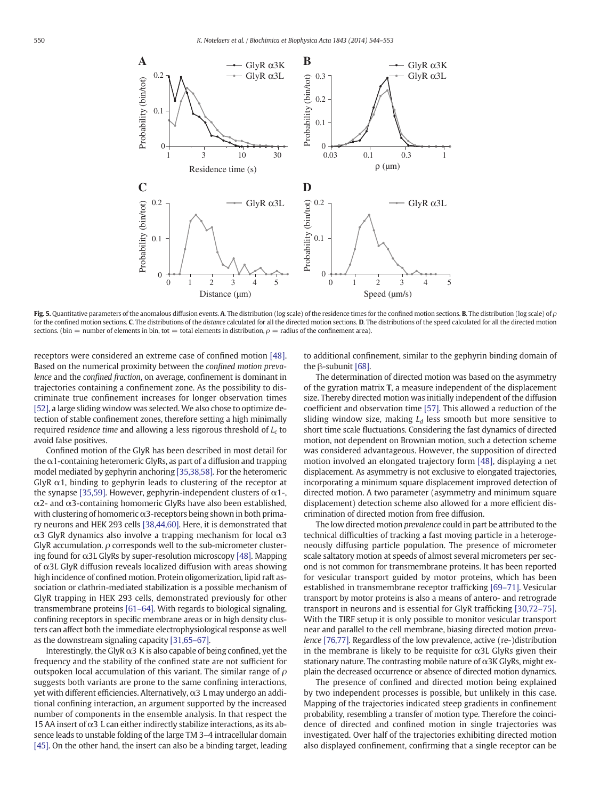<span id="page-6-0"></span>

Fig. 5. Quantitative parameters of the anomalous diffusion events. A. The distribution (log scale) of the residence times for the confined motion sections. B. The distribution (log scale) of  $\rho$ for the confined motion sections. C. The distributions of the distance calculated for all the directed motion sections. D. The distributions of the speed calculated for all the directed motion sections. (bin = number of elements in bin, tot = total elements in distribution,  $\rho$  = radius of the confinement area).

receptors were considered an extreme case of confined motion [\[48\].](#page-8-0) Based on the numerical proximity between the confined motion prevalence and the confined fraction, on average, confinement is dominant in trajectories containing a confinement zone. As the possibility to discriminate true confinement increases for longer observation times [\[52\]](#page-8-0), a large sliding window was selected. We also chose to optimize detection of stable confinement zones, therefore setting a high minimally required residence time and allowing a less rigorous threshold of  $L_c$  to avoid false positives.

Confined motion of the GlyR has been described in most detail for the  $\alpha$ 1-containing heteromeric GlyRs, as part of a diffusion and trapping model mediated by gephyrin anchoring [\[35,38,58\].](#page-8-0) For the heteromeric GlyR  $\alpha$ 1, binding to gephyrin leads to clustering of the receptor at the synapse [\[35,59\].](#page-8-0) However, gephyrin-independent clusters of  $\alpha$ 1-, α2- and α3-containing homomeric GlyRs have also been established, with clustering of homomeric  $\alpha$ 3-receptors being shown in both primary neurons and HEK 293 cells [\[38,44,60\].](#page-8-0) Here, it is demonstrated that α3 GlyR dynamics also involve a trapping mechanism for local α3 GlyR accumulation.  $\rho$  corresponds well to the sub-micrometer clustering found for α3L GlyRs by super-resolution microscopy [\[48\]](#page-8-0). Mapping of α3L GlyR diffusion reveals localized diffusion with areas showing high incidence of confined motion. Protein oligomerization, lipid raft association or clathrin-mediated stabilization is a possible mechanism of GlyR trapping in HEK 293 cells, demonstrated previously for other transmembrane proteins [\[61](#page-9-0)–64]. With regards to biological signaling, confining receptors in specific membrane areas or in high density clusters can affect both the immediate electrophysiological response as well as the downstream signaling capacity [\[31,65](#page-8-0)–67].

Interestingly, the GlyR  $\alpha$ 3 K is also capable of being confined, yet the frequency and the stability of the confined state are not sufficient for outspoken local accumulation of this variant. The similar range of  $\rho$ suggests both variants are prone to the same confining interactions, yet with different efficiencies. Alternatively, α3 L may undergo an additional confining interaction, an argument supported by the increased number of components in the ensemble analysis. In that respect the 15 AA insert of  $\alpha$ 3 L can either indirectly stabilize interactions, as its absence leads to unstable folding of the large TM 3–4 intracellular domain [\[45\]](#page-8-0). On the other hand, the insert can also be a binding target, leading to additional confinement, similar to the gephyrin binding domain of the β-subunit [\[68\].](#page-9-0)

The determination of directed motion was based on the asymmetry of the gyration matrix T, a measure independent of the displacement size. Thereby directed motion was initially independent of the diffusion coefficient and observation time [\[57\].](#page-9-0) This allowed a reduction of the sliding window size, making  $L_d$  less smooth but more sensitive to short time scale fluctuations. Considering the fast dynamics of directed motion, not dependent on Brownian motion, such a detection scheme was considered advantageous. However, the supposition of directed motion involved an elongated trajectory form [\[48\]](#page-8-0), displaying a net displacement. As asymmetry is not exclusive to elongated trajectories, incorporating a minimum square displacement improved detection of directed motion. A two parameter (asymmetry and minimum square displacement) detection scheme also allowed for a more efficient discrimination of directed motion from free diffusion.

The low directed motion prevalence could in part be attributed to the technical difficulties of tracking a fast moving particle in a heterogeneously diffusing particle population. The presence of micrometer scale saltatory motion at speeds of almost several micrometers per second is not common for transmembrane proteins. It has been reported for vesicular transport guided by motor proteins, which has been established in transmembrane receptor trafficking [\[69](#page-9-0)–71]. Vesicular transport by motor proteins is also a means of antero- and retrograde transport in neurons and is essential for GlyR trafficking [\[30,72](#page-8-0)–75]. With the TIRF setup it is only possible to monitor vesicular transport near and parallel to the cell membrane, biasing directed motion prevalence [\[76,77\]](#page-9-0). Regardless of the low prevalence, active (re-)distribution in the membrane is likely to be requisite for  $\alpha$ 3L GlyRs given their stationary nature. The contrasting mobile nature of  $\alpha$ 3K GlyRs, might explain the decreased occurrence or absence of directed motion dynamics.

The presence of confined and directed motion being explained by two independent processes is possible, but unlikely in this case. Mapping of the trajectories indicated steep gradients in confinement probability, resembling a transfer of motion type. Therefore the coincidence of directed and confined motion in single trajectories was investigated. Over half of the trajectories exhibiting directed motion also displayed confinement, confirming that a single receptor can be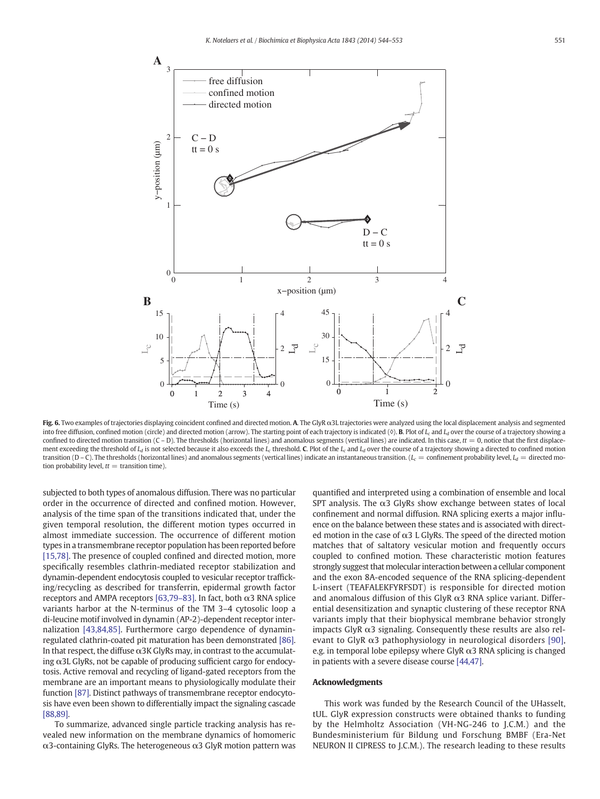<span id="page-7-0"></span>

Fig. 6. Two examples of trajectories displaying coincident confined and directed motion. A. The GlyR α3L trajectories were analyzed using the local displacement analysis and segmented into free diffusion, confined motion (circle) and directed motion (arrow). The starting point of each trajectory is indicated ( $\Diamond$ ). B. Plot of  $L_c$  and  $L_d$  over the course of a trajectory showing a confined to directed motion transition  $(C - D)$ . The thresholds (horizontal lines) and anomalous segments (vertical lines) are indicated. In this case,  $tt = 0$ , notice that the first displacement exceeding the threshold of  $L_d$  is not selected because it also exceeds the  $L_c$  threshold. C. Plot of the  $L_c$  and  $L_d$  over the course of a trajectory showing a directed to confined motion transition (D – C). The thresholds (horizontal lines) and anomalous segments (vertical lines) indicate an instantaneous transition. ( $L_c$  = confinement probability level,  $L_d$  = directed motion probability level,  $tt =$  transition time).

subjected to both types of anomalous diffusion. There was no particular order in the occurrence of directed and confined motion. However, analysis of the time span of the transitions indicated that, under the given temporal resolution, the different motion types occurred in almost immediate succession. The occurrence of different motion types in a transmembrane receptor population has been reported before [\[15,78\]](#page-8-0). The presence of coupled confined and directed motion, more specifically resembles clathrin-mediated receptor stabilization and dynamin-dependent endocytosis coupled to vesicular receptor trafficking/recycling as described for transferrin, epidermal growth factor receptors and AMPA receptors [\[63,79](#page-9-0)-83]. In fact, both  $\alpha$ 3 RNA splice variants harbor at the N-terminus of the TM 3–4 cytosolic loop a di-leucine motif involved in dynamin (AP-2)-dependent receptor internalization [\[43,84,85\].](#page-8-0) Furthermore cargo dependence of dynaminregulated clathrin-coated pit maturation has been demonstrated [\[86\].](#page-9-0) In that respect, the diffuse  $\alpha$ 3K GlyRs may, in contrast to the accumulating α3L GlyRs, not be capable of producing sufficient cargo for endocytosis. Active removal and recycling of ligand-gated receptors from the membrane are an important means to physiologically modulate their function [\[87\]](#page-9-0). Distinct pathways of transmembrane receptor endocytosis have even been shown to differentially impact the signaling cascade [\[88,89\]](#page-9-0).

To summarize, advanced single particle tracking analysis has revealed new information on the membrane dynamics of homomeric α3-containing GlyRs. The heterogeneous α3 GlyR motion pattern was quantified and interpreted using a combination of ensemble and local SPT analysis. The  $\alpha$ 3 GlyRs show exchange between states of local confinement and normal diffusion. RNA splicing exerts a major influence on the balance between these states and is associated with directed motion in the case of  $\alpha$ 3 L GlyRs. The speed of the directed motion matches that of saltatory vesicular motion and frequently occurs coupled to confined motion. These characteristic motion features strongly suggest that molecular interaction between a cellular component and the exon 8A-encoded sequence of the RNA splicing-dependent L-insert (TEAFALEKFYRFSDT) is responsible for directed motion and anomalous diffusion of this GlyR  $\alpha$ 3 RNA splice variant. Differential desensitization and synaptic clustering of these receptor RNA variants imply that their biophysical membrane behavior strongly impacts GlyR  $\alpha$ 3 signaling. Consequently these results are also relevant to GlyR  $\alpha$ 3 pathophysiology in neurological disorders [\[90\],](#page-9-0) e.g. in temporal lobe epilepsy where GlyR  $\alpha$ 3 RNA splicing is changed in patients with a severe disease course [\[44,47\]](#page-8-0).

# Acknowledgments

This work was funded by the Research Council of the UHasselt, tUL. GlyR expression constructs were obtained thanks to funding by the Helmholtz Association (VH-NG-246 to J.C.M.) and the Bundesministerium für Bildung und Forschung BMBF (Era-Net NEURON II CIPRESS to J.C.M.). The research leading to these results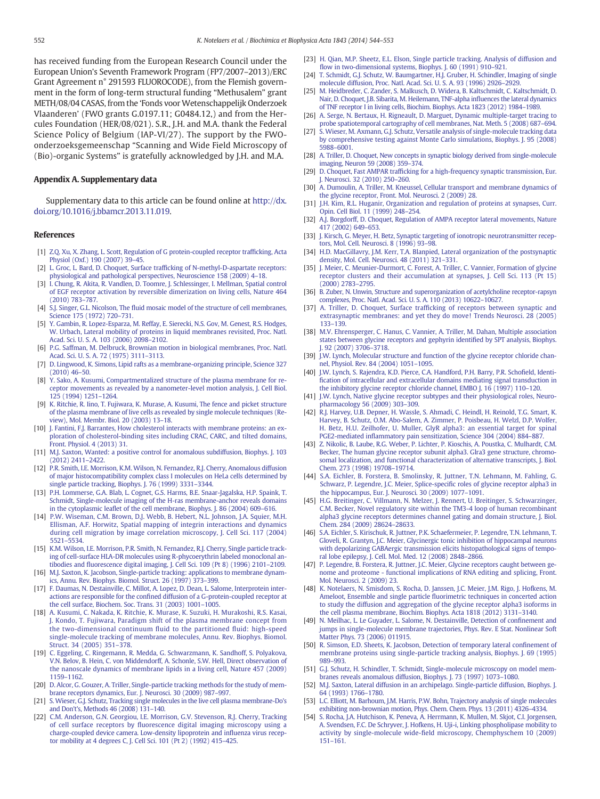<span id="page-8-0"></span>has received funding from the European Research Council under the European Union's Seventh Framework Program (FP7/2007–2013)/ERC Grant Agreement n° 291593 FLUOROCODE), from the Flemish government in the form of long-term structural funding "Methusalem" grant METH/08/04 CASAS, from the 'Fonds voor Wetenschappelijk Onderzoek Vlaanderen' (FWO grants G.0197.11; G0484.12,) and from the Hercules Foundation (HER/08/021). S.R., J.H. and M.A. thank the Federal Science Policy of Belgium (IAP-VI/27). The support by the FWOonderzoeksgemeenschap "Scanning and Wide Field Microscopy of (Bio)-organic Systems" is gratefully acknowledged by J.H. and M.A.

# Appendix A. Supplementary data

Supplementary data to this article can be found online at [http://dx.](http://dx.doi.org/10.1016/j.bbamcr.2013.11.019) [doi.org/10.1016/j.bbamcr.2013.11.019](http://dx.doi.org/10.1016/j.bbamcr.2013.11.019).

## References

- [1] [Z.Q. Xu, X. Zhang, L. Scott, Regulation of G protein-coupled receptor traf](http://refhub.elsevier.com/S0167-4889(13)00411-4/rf0005)ficking, Acta [Physiol \(Oxf.\) 190 \(2007\) 39](http://refhub.elsevier.com/S0167-4889(13)00411-4/rf0005)–45.
- [2] L. Groc, L. Bard, D. Choquet, Surface traffi[cking of N-methyl-D-aspartate receptors:](http://refhub.elsevier.com/S0167-4889(13)00411-4/rf0010) [physiological and pathological perspectives, Neuroscience 158 \(2009\) 4](http://refhub.elsevier.com/S0167-4889(13)00411-4/rf0010)–18.
- [3] [I. Chung, R. Akita, R. Vandlen, D. Toomre, J. Schlessinger, I. Mellman, Spatial control](http://refhub.elsevier.com/S0167-4889(13)00411-4/rf0015) [of EGF receptor activation by reversible dimerization on living cells, Nature 464](http://refhub.elsevier.com/S0167-4889(13)00411-4/rf0015) [\(2010\) 783](http://refhub.elsevier.com/S0167-4889(13)00411-4/rf0015)–787.
- [4] S.J. Singer, G.L. Nicolson, The fl[uid mosaic model of the structure of cell membranes,](http://refhub.elsevier.com/S0167-4889(13)00411-4/rf0020) [Science 175 \(1972\) 720](http://refhub.elsevier.com/S0167-4889(13)00411-4/rf0020)–731.
- [5] [Y. Gambin, R. Lopez-Esparza, M. Reffay, E. Sierecki, N.S. Gov, M. Genest, R.S. Hodges,](http://refhub.elsevier.com/S0167-4889(13)00411-4/rf0025) [W. Urbach, Lateral mobility of proteins in liquid membranes revisited, Proc. Natl.](http://refhub.elsevier.com/S0167-4889(13)00411-4/rf0025) [Acad. Sci. U. S. A. 103 \(2006\) 2098](http://refhub.elsevier.com/S0167-4889(13)00411-4/rf0025)–2102.
- [P.G. Saffman, M. Delbruck, Brownian motion in biological membranes, Proc. Natl.](http://refhub.elsevier.com/S0167-4889(13)00411-4/rf0030) [Acad. Sci. U. S. A. 72 \(1975\) 3111](http://refhub.elsevier.com/S0167-4889(13)00411-4/rf0030)–3113.
- [7] [D. Lingwood, K. Simons, Lipid rafts as a membrane-organizing principle, Science 327](http://refhub.elsevier.com/S0167-4889(13)00411-4/rf0035)  $(2010)$  46–50.
- [8] [Y. Sako, A. Kusumi, Compartmentalized structure of the plasma membrane for re](http://refhub.elsevier.com/S0167-4889(13)00411-4/rf0040)[ceptor movements as revealed by a nanometer-level motion analysis, J. Cell Biol.](http://refhub.elsevier.com/S0167-4889(13)00411-4/rf0040) [125 \(1994\) 1251](http://refhub.elsevier.com/S0167-4889(13)00411-4/rf0040)–1264.
- [9] [K. Ritchie, R. Iino, T. Fujiwara, K. Murase, A. Kusumi, The fence and picket structure](http://refhub.elsevier.com/S0167-4889(13)00411-4/rf0045) [of the plasma membrane of live cells as revealed by single molecule techniques \(Re](http://refhub.elsevier.com/S0167-4889(13)00411-4/rf0045)[view\), Mol. Membr. Biol. 20 \(2003\) 13](http://refhub.elsevier.com/S0167-4889(13)00411-4/rf0045)–18.
- [10] [J. Fantini, F.J. Barrantes, How cholesterol interacts with membrane proteins: an ex](http://refhub.elsevier.com/S0167-4889(13)00411-4/rf0050)[ploration of cholesterol-binding sites including CRAC, CARC, and tilted domains,](http://refhub.elsevier.com/S0167-4889(13)00411-4/rf0050) [Front. Physiol. 4 \(2013\) 31](http://refhub.elsevier.com/S0167-4889(13)00411-4/rf0050).
- [11] [M.J. Saxton, Wanted: a positive control for anomalous subdiffusion, Biophys. J. 103](http://refhub.elsevier.com/S0167-4889(13)00411-4/rf0055) [\(2012\) 2411](http://refhub.elsevier.com/S0167-4889(13)00411-4/rf0055)–2422.
- [12] [P.R. Smith, I.E. Morrison, K.M. Wilson, N. Fernandez, R.J. Cherry, Anomalous diffusion](http://refhub.elsevier.com/S0167-4889(13)00411-4/rf0060) [of major histocompatibility complex class I molecules on HeLa cells determined by](http://refhub.elsevier.com/S0167-4889(13)00411-4/rf0060) [single particle tracking, Biophys. J. 76 \(1999\) 3331](http://refhub.elsevier.com/S0167-4889(13)00411-4/rf0060)–3344.
- [13] [P.H. Lommerse, G.A. Blab, L. Cognet, G.S. Harms, B.E. Snaar-Jagalska, H.P. Spaink, T.](http://refhub.elsevier.com/S0167-4889(13)00411-4/rf0065) [Schmidt, Single-molecule imaging of the H-ras membrane-anchor reveals domains](http://refhub.elsevier.com/S0167-4889(13)00411-4/rf0065) in the cytoplasmic leafl[et of the cell membrane, Biophys. J. 86 \(2004\) 609](http://refhub.elsevier.com/S0167-4889(13)00411-4/rf0065)–616.
- [14] [P.W. Wiseman, C.M. Brown, D.J. Webb, B. Hebert, N.L. Johnson, J.A. Squier, M.H.](http://refhub.elsevier.com/S0167-4889(13)00411-4/rf0070) [Ellisman, A.F. Horwitz, Spatial mapping of integrin interactions and dynamics](http://refhub.elsevier.com/S0167-4889(13)00411-4/rf0070) [during cell migration by image correlation microscopy, J. Cell Sci. 117 \(2004\)](http://refhub.elsevier.com/S0167-4889(13)00411-4/rf0070) 5521–[5534.](http://refhub.elsevier.com/S0167-4889(13)00411-4/rf0070)
- [15] [K.M. Wilson, I.E. Morrison, P.R. Smith, N. Fernandez, R.J. Cherry, Single particle track](http://refhub.elsevier.com/S0167-4889(13)00411-4/rf0075)[ing of cell-surface HLA-DR molecules using R-phycoerythrin labeled monoclonal an](http://refhub.elsevier.com/S0167-4889(13)00411-4/rf0075)tibodies and fl[uorescence digital imaging, J. Cell Sci. 109 \(Pt 8\) \(1996\) 2101](http://refhub.elsevier.com/S0167-4889(13)00411-4/rf0075)–2109.
- [16] [M.J. Saxton, K. Jacobson, Single-particle tracking: applications to membrane dynam](http://refhub.elsevier.com/S0167-4889(13)00411-4/rf0080)[ics, Annu. Rev. Biophys. Biomol. Struct. 26 \(1997\) 373](http://refhub.elsevier.com/S0167-4889(13)00411-4/rf0080)–399.
- [17] [F. Daumas, N. Destainville, C. Millot, A. Lopez, D. Dean, L. Salome, Interprotein inter](http://refhub.elsevier.com/S0167-4889(13)00411-4/rf0085)actions are responsible for the confi[ned diffusion of a G-protein-coupled receptor at](http://refhub.elsevier.com/S0167-4889(13)00411-4/rf0085) [the cell surface, Biochem. Soc. Trans. 31 \(2003\) 1001](http://refhub.elsevier.com/S0167-4889(13)00411-4/rf0085)–1005.
- [18] [A. Kusumi, C. Nakada, K. Ritchie, K. Murase, K. Suzuki, H. Murakoshi, R.S. Kasai,](http://refhub.elsevier.com/S0167-4889(13)00411-4/rf0090) J. Kondo, T. Fujiwara, Paradigm shift [of the plasma membrane concept from](http://refhub.elsevier.com/S0167-4889(13)00411-4/rf0090) [the two-dimensional continuum](http://refhub.elsevier.com/S0167-4889(13)00411-4/rf0090) fluid to the partitioned fluid: high-speed [single-molecule tracking of membrane molecules, Annu. Rev.](http://refhub.elsevier.com/S0167-4889(13)00411-4/rf0090) Biophys. Biomol. [Struct. 34 \(2005\) 351](http://refhub.elsevier.com/S0167-4889(13)00411-4/rf0090)–378.
- [19] [C. Eggeling, C. Ringemann, R. Medda, G. Schwarzmann, K. Sandhoff, S. Polyakova,](http://refhub.elsevier.com/S0167-4889(13)00411-4/rf0095) [V.N. Belov, B. Hein, C. von Middendorff, A. Schonle, S.W. Hell, Direct observation of](http://refhub.elsevier.com/S0167-4889(13)00411-4/rf0095) [the nanoscale dynamics of membrane lipids in a living cell, Nature 457 \(2009\)](http://refhub.elsevier.com/S0167-4889(13)00411-4/rf0095) [1159](http://refhub.elsevier.com/S0167-4889(13)00411-4/rf0095)–1162.
- [20] [D. Alcor, G. Gouzer, A. Triller, Single-particle tracking methods for the study of mem](http://refhub.elsevier.com/S0167-4889(13)00411-4/rf0100)[brane receptors dynamics, Eur. J. Neurosci. 30 \(2009\) 987](http://refhub.elsevier.com/S0167-4889(13)00411-4/rf0100)–997.
- [21] [S. Wieser, G.J. Schutz, Tracking single molecules in the live cell plasma membrane-Do's](http://refhub.elsevier.com/S0167-4889(13)00411-4/rf0105) [and Don't's, Methods 46 \(2008\) 131](http://refhub.elsevier.com/S0167-4889(13)00411-4/rf0105)–140.
- [22] [C.M. Anderson, G.N. Georgiou, I.E. Morrison, G.V. Stevenson, R.J. Cherry, Tracking](http://refhub.elsevier.com/S0167-4889(13)00411-4/rf0110) of cell surface receptors by fl[uorescence digital imaging microscopy using a](http://refhub.elsevier.com/S0167-4889(13)00411-4/rf0110) [charge-coupled device camera. Low-density lipoprotein and in](http://refhub.elsevier.com/S0167-4889(13)00411-4/rf0110)fluenza virus recep[tor mobility at 4 degrees C, J. Cell Sci. 101 \(Pt 2\) \(1992\) 415](http://refhub.elsevier.com/S0167-4889(13)00411-4/rf0110)–425.
- [23] [H. Qian, M.P. Sheetz, E.L. Elson, Single particle tracking. Analysis of diffusion and](http://refhub.elsevier.com/S0167-4889(13)00411-4/rf0115) fl[ow in two-dimensional systems, Biophys. J. 60 \(1991\) 910](http://refhub.elsevier.com/S0167-4889(13)00411-4/rf0115)–921.
- [24] [T. Schmidt, G.J. Schutz, W. Baumgartner, H.J. Gruber, H. Schindler, Imaging of single](http://refhub.elsevier.com/S0167-4889(13)00411-4/rf0120) [molecule diffusion, Proc. Natl. Acad. Sci. U. S. A. 93 \(1996\) 2926](http://refhub.elsevier.com/S0167-4889(13)00411-4/rf0120)–2929.
- [25] [M. Heidbreder, C. Zander, S. Malkusch, D. Widera, B. Kaltschmidt, C. Kaltschmidt, D.](http://refhub.elsevier.com/S0167-4889(13)00411-4/rf0125) [Nair, D. Choquet, J.B. Sibarita, M. Heilemann, TNF-alpha in](http://refhub.elsevier.com/S0167-4889(13)00411-4/rf0125)fluences the lateral dynamics [of TNF receptor I in living cells, Biochim. Biophys. Acta 1823 \(2012\) 1984](http://refhub.elsevier.com/S0167-4889(13)00411-4/rf0125)–1989.
- [26] [A. Serge, N. Bertaux, H. Rigneault, D. Marguet, Dynamic multiple-target tracing to](http://refhub.elsevier.com/S0167-4889(13)00411-4/rf0130)
- [probe spatiotemporal cartography of cell membranes, Nat. Meth. 5 \(2008\) 687](http://refhub.elsevier.com/S0167-4889(13)00411-4/rf0130)–694. [27] [S. Wieser, M. Axmann, G.J. Schutz, Versatile analysis of single-molecule tracking data](http://refhub.elsevier.com/S0167-4889(13)00411-4/rf0135) [by comprehensive testing against Monte Carlo simulations, Biophys. J. 95 \(2008\)](http://refhub.elsevier.com/S0167-4889(13)00411-4/rf0135) [5988](http://refhub.elsevier.com/S0167-4889(13)00411-4/rf0135)–6001.
- [28] [A. Triller, D. Choquet, New concepts in synaptic biology derived from single-molecule](http://refhub.elsevier.com/S0167-4889(13)00411-4/rf0140) [imaging, Neuron 59 \(2008\) 359](http://refhub.elsevier.com/S0167-4889(13)00411-4/rf0140)–374.
- [29] D. Choquet, Fast AMPAR traffi[cking for a high-frequency synaptic transmission, Eur.](http://refhub.elsevier.com/S0167-4889(13)00411-4/rf0145) [J. Neurosci. 32 \(2010\) 250](http://refhub.elsevier.com/S0167-4889(13)00411-4/rf0145)–260.
- [30] [A. Dumoulin, A. Triller, M. Kneussel, Cellular transport and membrane dynamics of](http://refhub.elsevier.com/S0167-4889(13)00411-4/rf0150) the glycine receptor. Front. Mol. Neurosci. 2 (2009) 28.
- [31] [J.H. Kim, R.L. Huganir, Organization and regulation of proteins at synapses, Curr.](http://refhub.elsevier.com/S0167-4889(13)00411-4/rf0155) [Opin. Cell Biol. 11 \(1999\) 248](http://refhub.elsevier.com/S0167-4889(13)00411-4/rf0155)–254.
- [32] [A.J. Borgdorff, D. Choquet, Regulation of AMPA receptor lateral movements, Nature](http://refhub.elsevier.com/S0167-4889(13)00411-4/rf0160) [417 \(2002\) 649](http://refhub.elsevier.com/S0167-4889(13)00411-4/rf0160)–653.
- [33] [J. Kirsch, G. Meyer, H. Betz, Synaptic targeting of ionotropic neurotransmitter recep](http://refhub.elsevier.com/S0167-4889(13)00411-4/rf0165)[tors, Mol. Cell. Neurosci. 8 \(1996\) 93](http://refhub.elsevier.com/S0167-4889(13)00411-4/rf0165)–98.
- [34] [H.D. MacGillavry, J.M. Kerr, T.A. Blanpied, Lateral organization of the postsynaptic](http://refhub.elsevier.com/S0167-4889(13)00411-4/rf0170) [density, Mol. Cell. Neurosci. 48 \(2011\) 321](http://refhub.elsevier.com/S0167-4889(13)00411-4/rf0170)–331.
- [35] [J. Meier, C. Meunier-Durmort, C. Forest, A. Triller, C. Vannier, Formation of glycine](http://refhub.elsevier.com/S0167-4889(13)00411-4/rf0175) [receptor clusters and their accumulation at synapses, J. Cell Sci. 113 \(Pt 15\)](http://refhub.elsevier.com/S0167-4889(13)00411-4/rf0175) [\(2000\) 2783](http://refhub.elsevier.com/S0167-4889(13)00411-4/rf0175)–2795.
- [36] [B. Zuber, N. Unwin, Structure and superorganization of acetylcholine receptor-rapsyn](http://refhub.elsevier.com/S0167-4889(13)00411-4/rf0180) [complexes, Proc. Natl. Acad. Sci. U. S. A. 110 \(2013\) 10622](http://refhub.elsevier.com/S0167-4889(13)00411-4/rf0180)–10627.
- [37] A. Triller, D. Choquet, Surface traffi[cking of receptors between synaptic and](http://refhub.elsevier.com/S0167-4889(13)00411-4/rf0185) [extrasynaptic membranes: and yet they do move! Trends Neurosci. 28 \(2005\)](http://refhub.elsevier.com/S0167-4889(13)00411-4/rf0185) 133–[139.](http://refhub.elsevier.com/S0167-4889(13)00411-4/rf0185)
- [38] [M.V. Ehrensperger, C. Hanus, C. Vannier, A. Triller, M. Dahan, Multiple association](http://refhub.elsevier.com/S0167-4889(13)00411-4/rf0190) [states between glycine receptors and gephyrin identi](http://refhub.elsevier.com/S0167-4889(13)00411-4/rf0190)fied by SPT analysis, Biophys. [J. 92 \(2007\) 3706](http://refhub.elsevier.com/S0167-4889(13)00411-4/rf0190)–3718.
- [39] [J.W. Lynch, Molecular structure and function of the glycine receptor chloride chan](http://refhub.elsevier.com/S0167-4889(13)00411-4/rf0195)[nel, Physiol. Rev. 84 \(2004\) 1051](http://refhub.elsevier.com/S0167-4889(13)00411-4/rf0195)–1095.
- [40] [J.W. Lynch, S. Rajendra, K.D. Pierce, C.A. Handford, P.H. Barry, P.R. Scho](http://refhub.elsevier.com/S0167-4889(13)00411-4/rf0200)field, Identifi[cation of intracellular and extracellular domains mediating signal transduction in](http://refhub.elsevier.com/S0167-4889(13)00411-4/rf0200) [the inhibitory glycine receptor chloride channel, EMBO J. 16 \(1997\) 110](http://refhub.elsevier.com/S0167-4889(13)00411-4/rf0200)–120.
- [41] [J.W. Lynch, Native glycine receptor subtypes and their physiological roles, Neuro](http://refhub.elsevier.com/S0167-4889(13)00411-4/rf0205)[pharmacology 56 \(2009\) 303](http://refhub.elsevier.com/S0167-4889(13)00411-4/rf0205)–309.
- [42] [R.J. Harvey, U.B. Depner, H. Wassle, S. Ahmadi, C. Heindl, H. Reinold, T.G. Smart, K.](http://refhub.elsevier.com/S0167-4889(13)00411-4/rf0210) [Harvey, B. Schutz, O.M. Abo-Salem, A. Zimmer, P. Poisbeau, H. Welzl, D.P. Wolfer,](http://refhub.elsevier.com/S0167-4889(13)00411-4/rf0210) [H. Betz, H.U. Zeilhofer, U. Muller, GlyR alpha3: an essential target for spinal](http://refhub.elsevier.com/S0167-4889(13)00411-4/rf0210) PGE2-mediated infl[ammatory pain sensitization, Science 304 \(2004\) 884](http://refhub.elsevier.com/S0167-4889(13)00411-4/rf0210)-887
- [43] [Z. Nikolic, B. Laube, R.G. Weber, P. Lichter, P. Kioschis, A. Poustka, C. Mulhardt, C.M.](http://refhub.elsevier.com/S0167-4889(13)00411-4/rf0215) [Becker, The human glycine receptor subunit alpha3. Glra3 gene structure, chromo](http://refhub.elsevier.com/S0167-4889(13)00411-4/rf0215)[somal localization, and functional characterization of alternative transcripts, J. Biol.](http://refhub.elsevier.com/S0167-4889(13)00411-4/rf0215) [Chem. 273 \(1998\) 19708](http://refhub.elsevier.com/S0167-4889(13)00411-4/rf0215)–19714.
- [44] [S.A. Eichler, B. Forstera, B. Smolinsky, R. Juttner, T.N. Lehmann, M. Fahling, G.](http://refhub.elsevier.com/S0167-4889(13)00411-4/rf0220) [Schwarz, P. Legendre, J.C. Meier, Splice-speci](http://refhub.elsevier.com/S0167-4889(13)00411-4/rf0220)fic roles of glycine receptor alpha3 in [the hippocampus, Eur. J. Neurosci. 30 \(2009\) 1077](http://refhub.elsevier.com/S0167-4889(13)00411-4/rf0220)–1091.
- [45] [H.G. Breitinger, C. Villmann, N. Melzer, J. Rennert, U. Breitinger, S. Schwarzinger,](http://refhub.elsevier.com/S0167-4889(13)00411-4/rf0225) [C.M. Becker, Novel regulatory site within the TM3-4 loop of human recombinant](http://refhub.elsevier.com/S0167-4889(13)00411-4/rf0225) [alpha3 glycine receptors determines channel gating and domain structure, J. Biol.](http://refhub.elsevier.com/S0167-4889(13)00411-4/rf0225) [Chem. 284 \(2009\) 28624](http://refhub.elsevier.com/S0167-4889(13)00411-4/rf0225)–28633.
- [46] [S.A. Eichler, S. Kirischuk, R. Juttner, P.K. Schaefermeier, P. Legendre, T.N. Lehmann, T.](http://refhub.elsevier.com/S0167-4889(13)00411-4/rf0230) [Gloveli, R. Grantyn, J.C. Meier, Glycinergic tonic inhibition of hippocampal neurons](http://refhub.elsevier.com/S0167-4889(13)00411-4/rf0230) [with depolarizing GABAergic transmission elicits histopathological signs of tempo](http://refhub.elsevier.com/S0167-4889(13)00411-4/rf0230)[ral lobe epilepsy, J. Cell. Mol. Med. 12 \(2008\) 2848](http://refhub.elsevier.com/S0167-4889(13)00411-4/rf0230)–2866.
- [47] [P. Legendre, B. Forstera, R. Juttner, J.C. Meier, Glycine receptors caught between ge](http://refhub.elsevier.com/S0167-4889(13)00411-4/rf0235)[nome and proteome - functional implications of RNA editing and splicing, Front.](http://refhub.elsevier.com/S0167-4889(13)00411-4/rf0235) [Mol. Neurosci. 2 \(2009\) 23.](http://refhub.elsevier.com/S0167-4889(13)00411-4/rf0235)
- [48] [K. Notelaers, N. Smisdom, S. Rocha, D. Janssen, J.C. Meier, J.M. Rigo, J. Hofkens, M.](http://refhub.elsevier.com/S0167-4889(13)00411-4/rf0240) Ameloot, Ensemble and single particle fl[uorimetric techniques in concerted action](http://refhub.elsevier.com/S0167-4889(13)00411-4/rf0240) [to study the diffusion and aggregation of the glycine receptor alpha3 isoforms in](http://refhub.elsevier.com/S0167-4889(13)00411-4/rf0240) [the cell plasma membrane, Biochim. Biophys. Acta 1818 \(2012\) 3131](http://refhub.elsevier.com/S0167-4889(13)00411-4/rf0240)–3140.
- [49] [N. Meilhac, L. Le Guyader, L. Salome, N. Destainville, Detection of con](http://refhub.elsevier.com/S0167-4889(13)00411-4/rf0245)finement and [jumps in single-molecule membrane trajectories, Phys. Rev. E Stat. Nonlinear Soft](http://refhub.elsevier.com/S0167-4889(13)00411-4/rf0245) [Matter Phys. 73 \(2006\) 011915.](http://refhub.elsevier.com/S0167-4889(13)00411-4/rf0245)
- [50] [R. Simson, E.D. Sheets, K. Jacobson, Detection of temporary lateral con](http://refhub.elsevier.com/S0167-4889(13)00411-4/rf0250)finement of [membrane proteins using single-particle tracking analysis, Biophys. J. 69 \(1995\)](http://refhub.elsevier.com/S0167-4889(13)00411-4/rf0250) [989](http://refhub.elsevier.com/S0167-4889(13)00411-4/rf0250)–993.
- [51] [G.J. Schutz, H. Schindler, T. Schmidt, Single-molecule microscopy on model mem](http://refhub.elsevier.com/S0167-4889(13)00411-4/rf0255)[branes reveals anomalous diffusion, Biophys. J. 73 \(1997\) 1073](http://refhub.elsevier.com/S0167-4889(13)00411-4/rf0255)–1080.
- [52] [M.J. Saxton, Lateral diffusion in an archipelago. Single-particle diffusion, Biophys. J.](http://refhub.elsevier.com/S0167-4889(13)00411-4/rf0260) [64 \(1993\) 1766](http://refhub.elsevier.com/S0167-4889(13)00411-4/rf0260)–1780.
- [53] [L.C. Elliott, M. Barhoum, J.M. Harris, P.W. Bohn, Trajectory analysis of single molecules](http://refhub.elsevier.com/S0167-4889(13)00411-4/rf0265) [exhibiting non-brownian motion, Phys. Chem. Chem. Phys. 13 \(2011\) 4326](http://refhub.elsevier.com/S0167-4889(13)00411-4/rf0265)–4334.
- [54] [S. Rocha, J.A. Hutchison, K. Peneva, A. Herrmann, K. Mullen, M. Skjot, C.I. Jorgensen,](http://refhub.elsevier.com/S0167-4889(13)00411-4/rf0270) [A. Svendsen, F.C. De Schryver, J. Hofkens, H. Uji-i, Linking phospholipase mobility to](http://refhub.elsevier.com/S0167-4889(13)00411-4/rf0270) activity by single-molecule wide-fi[eld microscopy, Chemphyschem 10 \(2009\)](http://refhub.elsevier.com/S0167-4889(13)00411-4/rf0270) [151](http://refhub.elsevier.com/S0167-4889(13)00411-4/rf0270)–161.